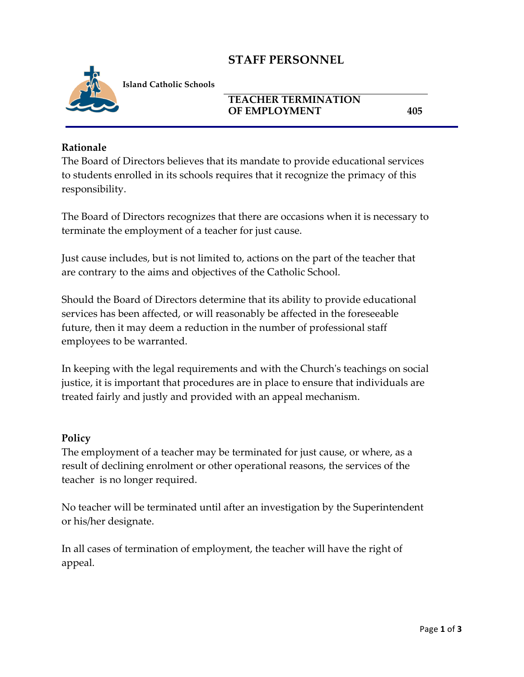# **STAFF PERSONNEL**



**Island Catholic Schools** 

### **TEACHER TERMINATION OF EMPLOYMENT 405**

#### **Rationale**

The Board of Directors believes that its mandate to provide educational services to students enrolled in its schools requires that it recognize the primacy of this responsibility.

The Board of Directors recognizes that there are occasions when it is necessary to terminate the employment of a teacher for just cause.

Just cause includes, but is not limited to, actions on the part of the teacher that are contrary to the aims and objectives of the Catholic School.

Should the Board of Directors determine that its ability to provide educational services has been affected, or will reasonably be affected in the foreseeable future, then it may deem a reduction in the number of professional staff employees to be warranted.

In keeping with the legal requirements and with the Church's teachings on social justice, it is important that procedures are in place to ensure that individuals are treated fairly and justly and provided with an appeal mechanism.

#### **Policy**

The employment of a teacher may be terminated for just cause, or where, as a result of declining enrolment or other operational reasons, the services of the teacher is no longer required.

No teacher will be terminated until after an investigation by the Superintendent or his/her designate.

In all cases of termination of employment, the teacher will have the right of appeal.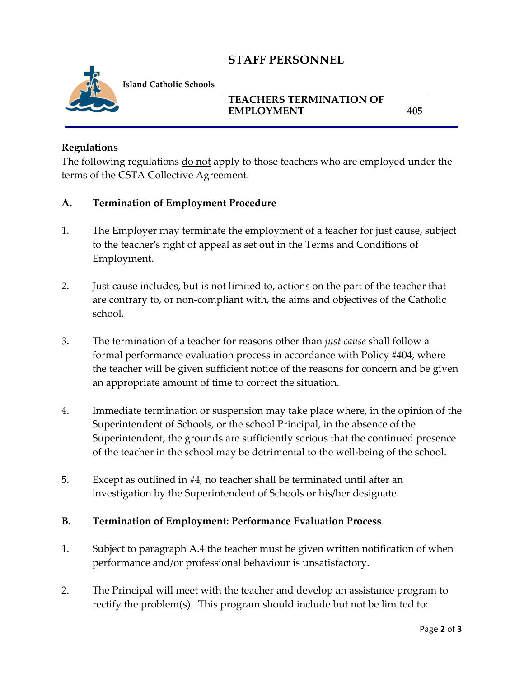# **STAFF PERSONNEL**



**Island Catholic Schools** 

### **TEACHERS TERMINATION OF EMPLOYMENT 405**

### **Regulations**

The following regulations do not apply to those teachers who are employed under the terms of the CSTA Collective Agreement.

#### **A. Termination of Employment Procedure**

- 1. The Employer may terminate the employment of a teacher for just cause, subject to the teacher's right of appeal as set out in the Terms and Conditions of Employment.
- 2. Just cause includes, but is not limited to, actions on the part of the teacher that are contrary to, or non-compliant with, the aims and objectives of the Catholic school.
- 3. The termination of a teacher for reasons other than *just cause* shall follow a formal performance evaluation process in accordance with Policy #404, where the teacher will be given sufficient notice of the reasons for concern and be given an appropriate amount of time to correct the situation.
- 4. Immediate termination or suspension may take place where, in the opinion of the Superintendent of Schools, or the school Principal, in the absence of the Superintendent, the grounds are sufficiently serious that the continued presence of the teacher in the school may be detrimental to the well-being of the school.
- 5. Except as outlined in #4, no teacher shall be terminated until after an investigation by the Superintendent of Schools or his/her designate.

#### **B. Termination of Employment: Performance Evaluation Process**

- 1. Subject to paragraph A.4 the teacher must be given written notification of when performance and/or professional behaviour is unsatisfactory.
- 2. The Principal will meet with the teacher and develop an assistance program to rectify the problem(s). This program should include but not be limited to: